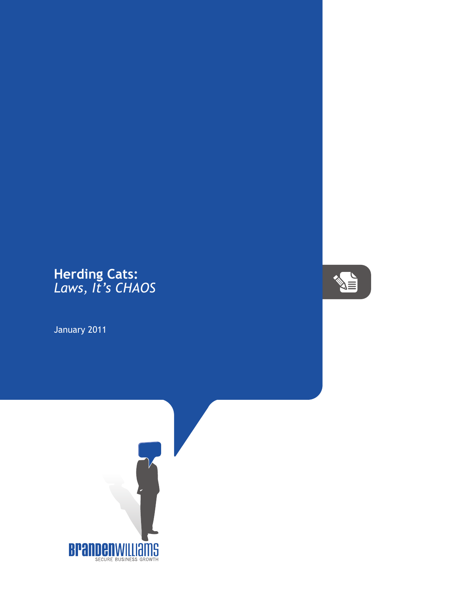## **Herding Cats:** *Laws, It's CHAOS*

January 2011



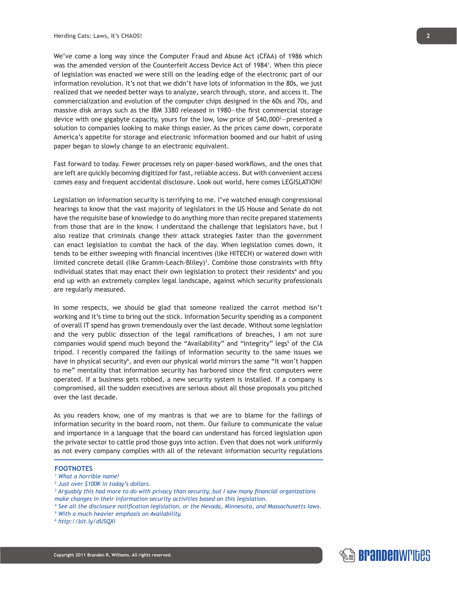We've come a long way since the Computer Fraud and Abuse Act (CFAA) of 1986 which was the amended version of the Counterfeit Access Device Act of 19841 . When this piece of legislation was enacted we were still on the leading edge of the electronic part of our information revolution. It's not that we didn't have lots of information in the 80s, we just realized that we needed better ways to analyze, search through, store, and access it. The commercialization and evolution of the computer chips designed in the 60s and 70s, and massive disk arrays such as the IBM 3380 released in 1980—the first commercial storage device with one gigabyte capacity, yours for the low, low price of \$40,000<sup>2</sup>—presented a solution to companies looking to make things easier. As the prices came down, corporate America's appetite for storage and electronic information boomed and our habit of using paper began to slowly change to an electronic equivalent.

Fast forward to today. Fewer processes rely on paper-based workflows, and the ones that are left are quickly becoming digitized for fast, reliable access. But with convenient access comes easy and frequent accidental disclosure. Look out world, here comes LEGISLATION!

Legislation on information security is terrifying to me. I've watched enough congressional hearings to know that the vast majority of legislators in the US House and Senate do not have the requisite base of knowledge to do anything more than recite prepared statements from those that are in the know. I understand the challenge that legislators have, but I also realize that criminals change their attack strategies faster than the government can enact legislation to combat the hack of the day. When legislation comes down, it tends to be either sweeping with financial incentives (like HITECH) or watered down with limited concrete detail (like Gramm-Leach-Bliley)<sup>3</sup>. Combine those constraints with fifty individual states that may enact their own legislation to protect their residents<sup>4</sup> and you end up with an extremely complex legal landscape, against which security professionals are regularly measured.

In some respects, we should be glad that someone realized the carrot method isn't working and it's time to bring out the stick. Information Security spending as a component of overall IT spend has grown tremendously over the last decade. Without some legislation and the very public dissection of the legal ramifications of breaches, I am not sure companies would spend much beyond the "Availability" and "Integrity" legs<sup>5</sup> of the CIA tripod. I recently compared the failings of information security to the same issues we have in physical security<sup>6</sup>, and even our physical world mirrors the same "It won't happen to me" mentality that information security has harbored since the first computers were operated. If a business gets robbed, a new security system is installed. If a company is compromised, all the sudden executives are serious about all those proposals you pitched over the last decade.

As you readers know, one of my mantras is that we are to blame for the failings of information security in the board room, not them. Our failure to communicate the value and importance in a language that the board can understand has forced legislation upon the private sector to cattle prod those guys into action. Even that does not work uniformly as not every company complies with all of the relevant information security regulations

## **FOOTNOTES**

- *1 What a horrible name!*
- *2 Just over \$100K in today's dollars.*
- <sup>3</sup> Arguably this had more to do with privacy than security, but I saw many financial organizations *make changes in their information security activities based on this legislation.*
- *4 See all the disclosure notification legislation, or the Nevada, Minnesota, and Massachusetts laws.*
- *5 With a much heavier emphasis on Availability.*

**Copyright 2011 Branden R. Williams. All rights reserved.**

*6 http://bit.ly/dUSQXi*

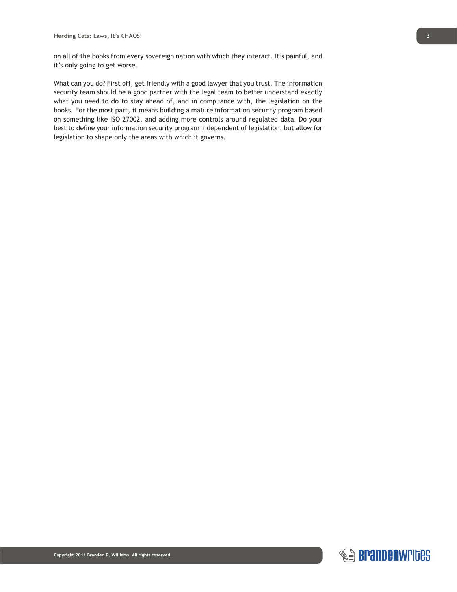on all of the books from every sovereign nation with which they interact. It's painful, and it's only going to get worse.

What can you do? First off, get friendly with a good lawyer that you trust. The information security team should be a good partner with the legal team to better understand exactly what you need to do to stay ahead of, and in compliance with, the legislation on the books. For the most part, it means building a mature information security program based on something like ISO 27002, and adding more controls around regulated data. Do your best to define your information security program independent of legislation, but allow for legislation to shape only the areas with which it governs.